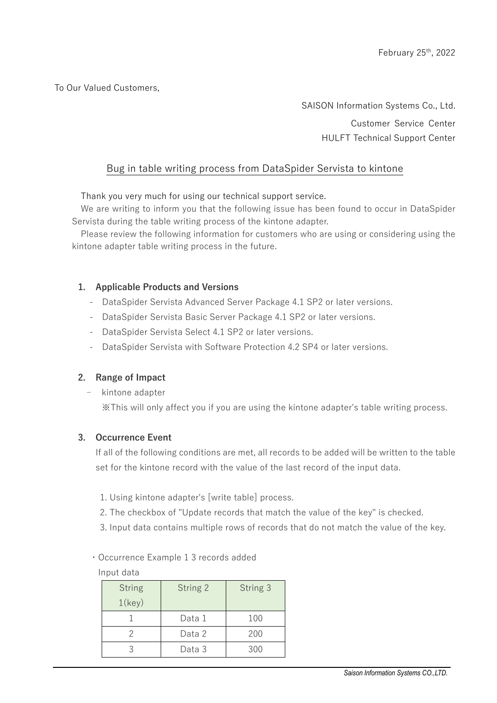To Our Valued Customers,

SAISON Information Systems Co., Ltd. Customer Service Center HULFT Technical Support Center

## Bug in table writing process from DataSpider Servista to kintone

Thank you very much for using our technical support service.

We are writing to inform you that the following issue has been found to occur in DataSpider Servista during the table writing process of the kintone adapter.

Please review the following information for customers who are using or considering using the kintone adapter table writing process in the future.

#### **1. Applicable Products and Versions**

- DataSpider Servista Advanced Server Package 4.1 SP2 or later versions.
- DataSpider Servista Basic Server Package 4.1 SP2 or later versions.
- DataSpider Servista Select 4.1 SP2 or later versions.
- DataSpider Servista with Software Protection 4.2 SP4 or later versions.

### **2. Range of Impact**

- kintone adapter

※This will only affect you if you are using the kintone adapter's table writing process.

#### **3. Occurrence Event**

If all of the following conditions are met, all records to be added will be written to the table set for the kintone record with the value of the last record of the input data.

- 1. Using kintone adapter's [write table] process.
- 2. The checkbox of "Update records that match the value of the key" is checked.
- 3. Input data contains multiple rows of records that do not match the value of the key.

#### ・Occurrence Example 1 3 records added

#### Input data

| <b>String</b><br>$1$ (key) | String 2 | String 3 |
|----------------------------|----------|----------|
|                            | Data 1   | 100      |
|                            | Data 2   | 200      |
|                            | Data 3   | 300      |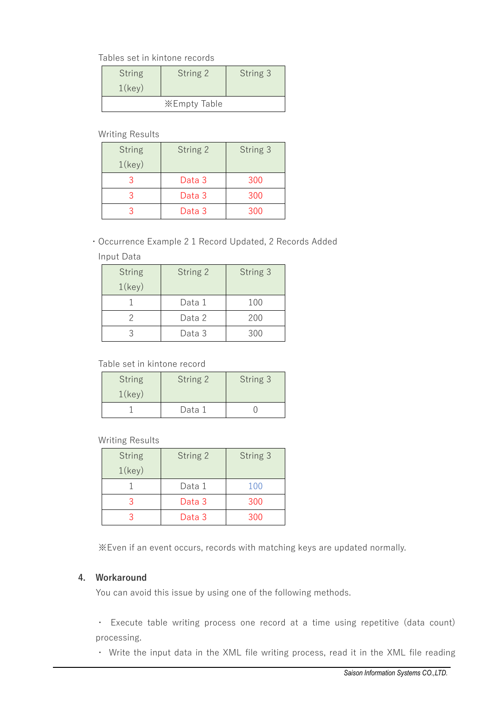Tables set in kintone records

| <b>String</b><br>$1$ (key) | String 2     | String 3 |
|----------------------------|--------------|----------|
|                            | ※Empty Table |          |

Writing Results

| <b>String</b><br>$1$ (key) | String 2 | String 3 |
|----------------------------|----------|----------|
|                            | Data 3   | 300      |
|                            | Data 3   | 300      |
|                            | Data 3   | 300      |

# ・Occurrence Example 2 1 Record Updated, 2 Records Added

#### Input Data

| <b>String</b> | String 2 | String 3 |
|---------------|----------|----------|
| $1$ (key)     |          |          |
|               | Data 1   | 100      |
|               | Data 2   | 200      |
|               | Data 3   | 300      |

### Table set in kintone record

| <b>String</b><br>$1$ (key) | String 2 | String 3 |
|----------------------------|----------|----------|
|                            | Data 1   |          |

### Writing Results

| <b>String</b> | String 2 | String 3 |
|---------------|----------|----------|
| $1$ (key)     |          |          |
|               | Data 1   | 100      |
|               | Data 3   | 300      |
|               | Data 3   | 300      |

※Even if an event occurs, records with matching keys are updated normally.

### **4. Workaround**

You can avoid this issue by using one of the following methods.

・ Execute table writing process one record at a time using repetitive (data count) processing.

・ Write the input data in the XML file writing process, read it in the XML file reading